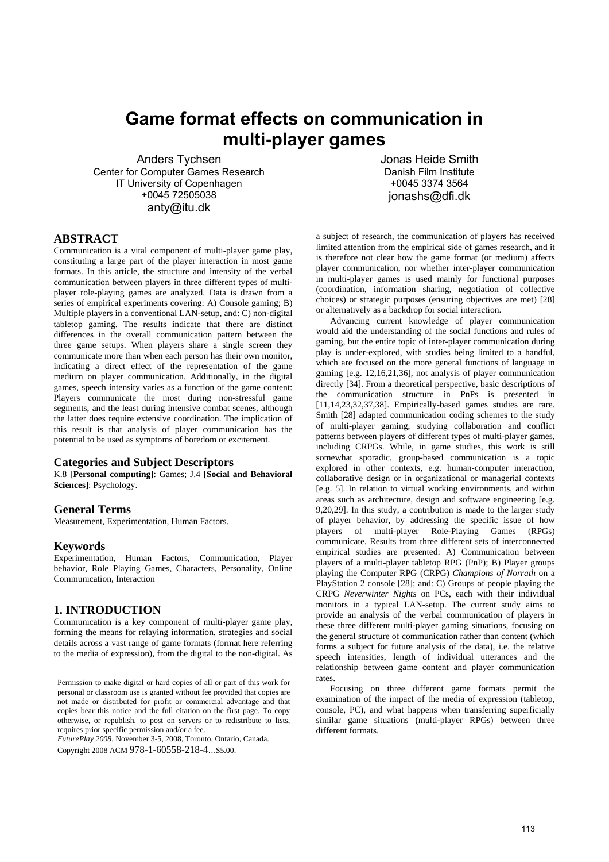# **Game format effects on communication in multi-player games**

Anders Tychsen Center for Computer Games Research IT University of Copenhagen +0045 72505038 anty@itu.dk

Jonas Heide Smith Danish Film Institute +0045 3374 3564 jonashs@dfi.dk

#### **ABSTRACT**

Communication is a vital component of multi-player game play, constituting a large part of the player interaction in most game formats. In this article, the structure and intensity of the verbal communication between players in three different types of multiplayer role-playing games are analyzed. Data is drawn from a series of empirical experiments covering: A) Console gaming; B) Multiple players in a conventional LAN-setup, and: C) non-digital tabletop gaming. The results indicate that there are distinct differences in the overall communication pattern between the three game setups. When players share a single screen they communicate more than when each person has their own monitor, indicating a direct effect of the representation of the game medium on player communication. Additionally, in the digital games, speech intensity varies as a function of the game content: Players communicate the most during non-stressful game segments, and the least during intensive combat scenes, although the latter does require extensive coordination. The implication of this result is that analysis of player communication has the potential to be used as symptoms of boredom or excitement.

#### **Categories and Subject Descriptors**

K.8 [**Personal computing]**: Games; J.4 [**Social and Behavioral Sciences**]: Psychology.

# **General Terms**

Measurement, Experimentation, Human Factors.

#### **Keywords**

Experimentation, Human Factors, Communication, Player behavior, Role Playing Games, Characters, Personality, Online Communication, Interaction

# **1. INTRODUCTION**

Communication is a key component of multi-player game play, forming the means for relaying information, strategies and social details across a vast range of game formats (format here referring to the media of expression), from the digital to the non-digital. As

Permission to make digital or hard copies of all or part of this work for personal or classroom use is granted without fee provided that copies are not made or distributed for profit or commercial advantage and that copies bear this notice and the full citation on the first page. To copy otherwise, or republish, to post on servers or to redistribute to lists, requires prior specific permission and/or a fee.

*FuturePlay 2008*, November 3-5, 2008, Toronto, Ontario, Canada. Copyright 2008 ACM 978-1-60558-218-4…\$5.00.

a subject of research, the communication of players has received limited attention from the empirical side of games research, and it is therefore not clear how the game format (or medium) affects player communication, nor whether inter-player communication in multi-player games is used mainly for functional purposes (coordination, information sharing, negotiation of collective choices) or strategic purposes (ensuring objectives are met) [28] or alternatively as a backdrop for social interaction.

Advancing current knowledge of player communication would aid the understanding of the social functions and rules of gaming, but the entire topic of inter-player communication during play is under-explored, with studies being limited to a handful, which are focused on the more general functions of language in gaming [e.g. 12,16,21,36], not analysis of player communication directly [34]. From a theoretical perspective, basic descriptions of the communication structure in PnPs is presented in [11,14,23,32,37,38]. Empirically-based games studies are rare. Smith [28] adapted communication coding schemes to the study of multi-player gaming, studying collaboration and conflict patterns between players of different types of multi-player games, including CRPGs. While, in game studies, this work is still somewhat sporadic, group-based communication is a topic explored in other contexts, e.g. human-computer interaction, collaborative design or in organizational or managerial contexts [e.g. 5]. In relation to virtual working environments, and within areas such as architecture, design and software engineering [e.g. 9,20,29]. In this study, a contribution is made to the larger study of player behavior, by addressing the specific issue of how players of multi-player Role-Playing Games (RPGs) communicate. Results from three different sets of interconnected empirical studies are presented: A) Communication between players of a multi-player tabletop RPG (PnP); B) Player groups playing the Computer RPG (CRPG) *Champions of Norrath* on a PlayStation 2 console [28]; and: C) Groups of people playing the CRPG *Neverwinter Nights* on PCs, each with their individual monitors in a typical LAN-setup. The current study aims to provide an analysis of the verbal communication of players in these three different multi-player gaming situations, focusing on the general structure of communication rather than content (which forms a subject for future analysis of the data), i.e. the relative speech intensities, length of individual utterances and the relationship between game content and player communication rates.

Focusing on three different game formats permit the examination of the impact of the media of expression (tabletop, console, PC), and what happens when transferring superficially similar game situations (multi-player RPGs) between three different formats.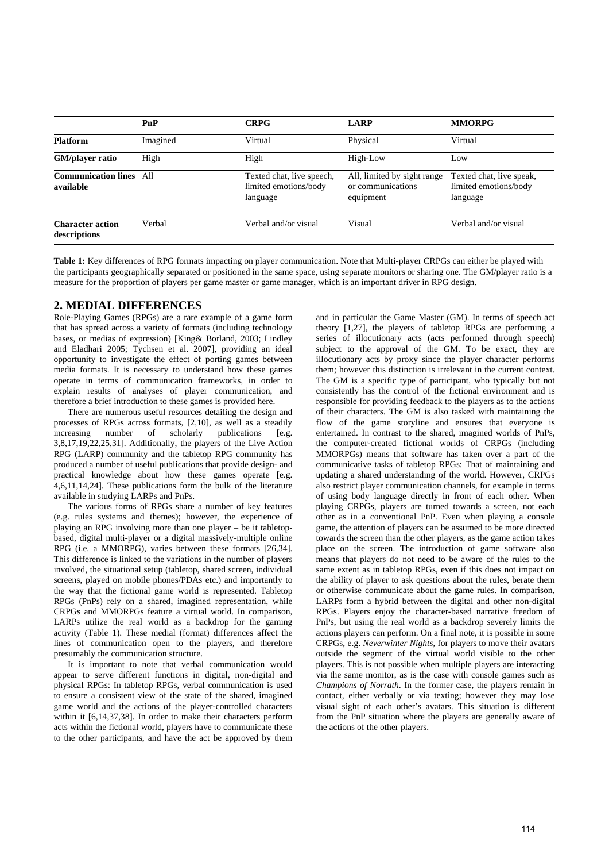|                                         | PnP      | <b>CRPG</b>                                                    | <b>LARP</b>                                                   | <b>MMORPG</b>        |  |
|-----------------------------------------|----------|----------------------------------------------------------------|---------------------------------------------------------------|----------------------|--|
| <b>Platform</b>                         | Imagined | Virtual                                                        | Physical                                                      |                      |  |
| GM/player ratio                         | High     | High                                                           | High-Low                                                      | Low                  |  |
| <b>Communication lines</b><br>available | A11      | Texted chat, live speech,<br>limited emotions/body<br>language | All, limited by sight range<br>or communications<br>equipment |                      |  |
| <b>Character action</b><br>descriptions | Verbal   | Verbal and/or visual                                           | Visual                                                        | Verbal and/or visual |  |

**Table 1:** Key differences of RPG formats impacting on player communication. Note that Multi-player CRPGs can either be played with the participants geographically separated or positioned in the same space, using separate monitors or sharing one. The GM/player ratio is a measure for the proportion of players per game master or game manager, which is an important driver in RPG design.

# **2. MEDIAL DIFFERENCES**

Role-Playing Games (RPGs) are a rare example of a game form that has spread across a variety of formats (including technology bases, or medias of expression) [King& Borland, 2003; Lindley and Eladhari 2005; Tychsen et al. 2007], providing an ideal opportunity to investigate the effect of porting games between media formats. It is necessary to understand how these games operate in terms of communication frameworks, in order to explain results of analyses of player communication, and therefore a brief introduction to these games is provided here.

There are numerous useful resources detailing the design and processes of RPGs across formats, [2,10], as well as a steadily increasing number of scholarly publications [e.g. 3,8,17,19,22,25,31]. Additionally, the players of the Live Action RPG (LARP) community and the tabletop RPG community has produced a number of useful publications that provide design- and practical knowledge about how these games operate [e.g. 4,6,11,14,24]. These publications form the bulk of the literature available in studying LARPs and PnPs.

The various forms of RPGs share a number of key features (e.g. rules systems and themes); however, the experience of playing an RPG involving more than one player – be it tabletopbased, digital multi-player or a digital massively-multiple online RPG (i.e. a MMORPG), varies between these formats [26,34]. This difference is linked to the variations in the number of players involved, the situational setup (tabletop, shared screen, individual screens, played on mobile phones/PDAs etc.) and importantly to the way that the fictional game world is represented. Tabletop RPGs (PnPs) rely on a shared, imagined representation, while CRPGs and MMORPGs feature a virtual world. In comparison, LARPs utilize the real world as a backdrop for the gaming activity (Table 1). These medial (format) differences affect the lines of communication open to the players, and therefore presumably the communication structure.

It is important to note that verbal communication would appear to serve different functions in digital, non-digital and physical RPGs: In tabletop RPGs, verbal communication is used to ensure a consistent view of the state of the shared, imagined game world and the actions of the player-controlled characters within it [6,14,37,38]. In order to make their characters perform acts within the fictional world, players have to communicate these to the other participants, and have the act be approved by them

and in particular the Game Master (GM). In terms of speech act theory [1,27], the players of tabletop RPGs are performing a series of illocutionary acts (acts performed through speech) subject to the approval of the GM. To be exact, they are illocutionary acts by proxy since the player character performs them; however this distinction is irrelevant in the current context. The GM is a specific type of participant, who typically but not consistently has the control of the fictional environment and is responsible for providing feedback to the players as to the actions of their characters. The GM is also tasked with maintaining the flow of the game storyline and ensures that everyone is entertained. In contrast to the shared, imagined worlds of PnPs, the computer-created fictional worlds of CRPGs (including MMORPGs) means that software has taken over a part of the communicative tasks of tabletop RPGs: That of maintaining and updating a shared understanding of the world. However, CRPGs also restrict player communication channels, for example in terms of using body language directly in front of each other. When playing CRPGs, players are turned towards a screen, not each other as in a conventional PnP. Even when playing a console game, the attention of players can be assumed to be more directed towards the screen than the other players, as the game action takes place on the screen. The introduction of game software also means that players do not need to be aware of the rules to the same extent as in tabletop RPGs, even if this does not impact on the ability of player to ask questions about the rules, berate them or otherwise communicate about the game rules. In comparison, LARPs form a hybrid between the digital and other non-digital RPGs. Players enjoy the character-based narrative freedom of PnPs, but using the real world as a backdrop severely limits the actions players can perform. On a final note, it is possible in some CRPGs, e.g. *Neverwinter Nights*, for players to move their avatars outside the segment of the virtual world visible to the other players. This is not possible when multiple players are interacting via the same monitor, as is the case with console games such as *Champions of Norrath*. In the former case, the players remain in contact, either verbally or via texting; however they may lose visual sight of each other's avatars. This situation is different from the PnP situation where the players are generally aware of the actions of the other players.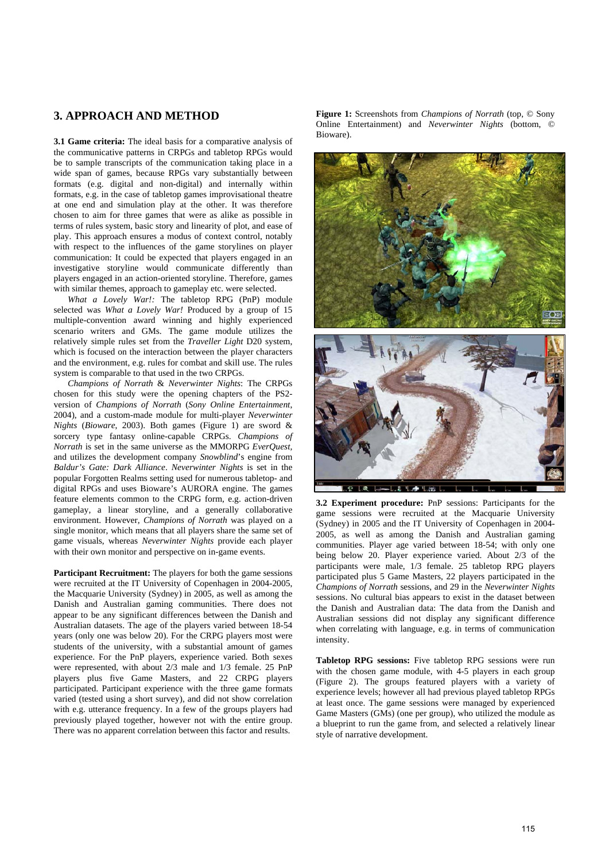# **3. APPROACH AND METHOD**

**3.1 Game criteria:** The ideal basis for a comparative analysis of the communicative patterns in CRPGs and tabletop RPGs would be to sample transcripts of the communication taking place in a wide span of games, because RPGs vary substantially between formats (e.g. digital and non-digital) and internally within formats, e.g. in the case of tabletop games improvisational theatre at one end and simulation play at the other. It was therefore chosen to aim for three games that were as alike as possible in terms of rules system, basic story and linearity of plot, and ease of play. This approach ensures a modus of context control, notably with respect to the influences of the game storylines on player communication: It could be expected that players engaged in an investigative storyline would communicate differently than players engaged in an action-oriented storyline. Therefore, games with similar themes, approach to gameplay etc. were selected.

*What a Lovely War!:* The tabletop RPG (PnP) module selected was *What a Lovely War!* Produced by a group of 15 multiple-convention award winning and highly experienced scenario writers and GMs. The game module utilizes the relatively simple rules set from the *Traveller Light* D20 system, which is focused on the interaction between the player characters and the environment, e.g. rules for combat and skill use. The rules system is comparable to that used in the two CRPGs.

*Champions of Norrath* & *Neverwinter Nights*: The CRPGs chosen for this study were the opening chapters of the PS2 version of *Champions of Norrath* (*Sony Online Entertainment*, 2004), and a custom-made module for multi-player *Neverwinter Nights* (*Bioware*, 2003). Both games (Figure 1) are sword & sorcery type fantasy online-capable CRPGs. *Champions of Norrath* is set in the same universe as the MMORPG *EverQuest,* and utilizes the development company *Snowblind*'s engine from *Baldur's Gate: Dark Alliance*. *Neverwinter Nights* is set in the popular Forgotten Realms setting used for numerous tabletop- and digital RPGs and uses Bioware's AURORA engine. The games feature elements common to the CRPG form, e.g. action-driven gameplay, a linear storyline, and a generally collaborative environment. However, *Champions of Norrath* was played on a single monitor, which means that all players share the same set of game visuals, whereas *Neverwinter Nights* provide each player with their own monitor and perspective on in-game events.

**Participant Recruitment:** The players for both the game sessions were recruited at the IT University of Copenhagen in 2004-2005, the Macquarie University (Sydney) in 2005, as well as among the Danish and Australian gaming communities. There does not appear to be any significant differences between the Danish and Australian datasets. The age of the players varied between 18-54 years (only one was below 20). For the CRPG players most were students of the university, with a substantial amount of games experience. For the PnP players, experience varied. Both sexes were represented, with about 2/3 male and 1/3 female. 25 PnP players plus five Game Masters, and 22 CRPG players participated. Participant experience with the three game formats varied (tested using a short survey), and did not show correlation with e.g. utterance frequency. In a few of the groups players had previously played together, however not with the entire group. There was no apparent correlation between this factor and results.

**Figure 1:** Screenshots from *Champions of Norrath* (top, © Sony Online Entertainment) and *Neverwinter Nights* (bottom, © Bioware).



**3.2 Experiment procedure:** PnP sessions: Participants for the game sessions were recruited at the Macquarie University (Sydney) in 2005 and the IT University of Copenhagen in 2004- 2005, as well as among the Danish and Australian gaming communities. Player age varied between 18-54; with only one being below 20. Player experience varied. About 2/3 of the participants were male, 1/3 female. 25 tabletop RPG players participated plus 5 Game Masters, 22 players participated in the *Champions of Norrath* sessions, and 29 in the *Neverwinter Nights* sessions. No cultural bias appears to exist in the dataset between the Danish and Australian data: The data from the Danish and Australian sessions did not display any significant difference when correlating with language, e.g. in terms of communication intensity.

**Tabletop RPG sessions:** Five tabletop RPG sessions were run with the chosen game module, with 4-5 players in each group (Figure 2). The groups featured players with a variety of experience levels; however all had previous played tabletop RPGs at least once. The game sessions were managed by experienced Game Masters (GMs) (one per group), who utilized the module as a blueprint to run the game from, and selected a relatively linear style of narrative development.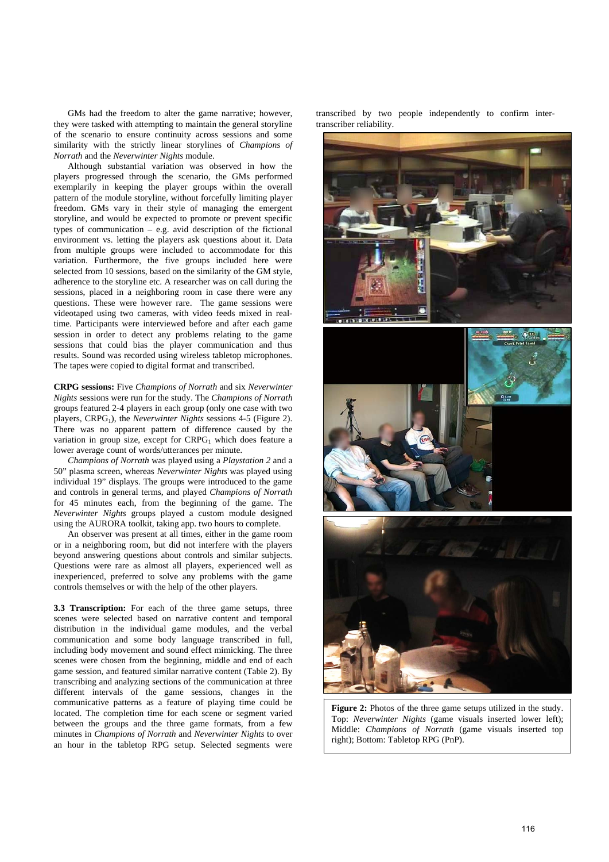GMs had the freedom to alter the game narrative; however, they were tasked with attempting to maintain the general storyline of the scenario to ensure continuity across sessions and some similarity with the strictly linear storylines of *Champions of Norrath* and the *Neverwinter Nights* module.

Although substantial variation was observed in how the players progressed through the scenario, the GMs performed exemplarily in keeping the player groups within the overall pattern of the module storyline, without forcefully limiting player freedom. GMs vary in their style of managing the emergent storyline, and would be expected to promote or prevent specific types of communication – e.g. avid description of the fictional environment vs. letting the players ask questions about it. Data from multiple groups were included to accommodate for this variation. Furthermore, the five groups included here were selected from 10 sessions, based on the similarity of the GM style, adherence to the storyline etc. A researcher was on call during the sessions, placed in a neighboring room in case there were any questions. These were however rare. The game sessions were videotaped using two cameras, with video feeds mixed in realtime. Participants were interviewed before and after each game session in order to detect any problems relating to the game sessions that could bias the player communication and thus results. Sound was recorded using wireless tabletop microphones. The tapes were copied to digital format and transcribed.

**CRPG sessions:** Five *Champions of Norrath* and six *Neverwinter Nights* sessions were run for the study. The *Champions of Norrath* groups featured 2-4 players in each group (only one case with two players, CRPG<sub>1</sub>), the *Neverwinter Nights* sessions 4-5 (Figure 2). There was no apparent pattern of difference caused by the variation in group size, except for  $CRPG<sub>1</sub>$  which does feature a lower average count of words/utterances per minute.

*Champions of Norrath* was played using a *Playstation 2* and a 50" plasma screen, whereas *Neverwinter Nights* was played using individual 19" displays. The groups were introduced to the game and controls in general terms, and played *Champions of Norrath* for 45 minutes each, from the beginning of the game. The *Neverwinter Nights* groups played a custom module designed using the AURORA toolkit, taking app. two hours to complete.

An observer was present at all times, either in the game room or in a neighboring room, but did not interfere with the players beyond answering questions about controls and similar subjects. Questions were rare as almost all players, experienced well as inexperienced, preferred to solve any problems with the game controls themselves or with the help of the other players.

**3.3 Transcription:** For each of the three game setups, three scenes were selected based on narrative content and temporal distribution in the individual game modules, and the verbal communication and some body language transcribed in full, including body movement and sound effect mimicking. The three scenes were chosen from the beginning, middle and end of each game session, and featured similar narrative content (Table 2). By transcribing and analyzing sections of the communication at three different intervals of the game sessions, changes in the communicative patterns as a feature of playing time could be located. The completion time for each scene or segment varied between the groups and the three game formats, from a few minutes in *Champions of Norrath* and *Neverwinter Nights* to over an hour in the tabletop RPG setup. Selected segments were

transcribed by two people independently to confirm intertranscriber reliability.



**Figure 2:** Photos of the three game setups utilized in the study. Top: *Neverwinter Nights* (game visuals inserted lower left); Middle: *Champions of Norrath* (game visuals inserted top right); Bottom: Tabletop RPG (PnP).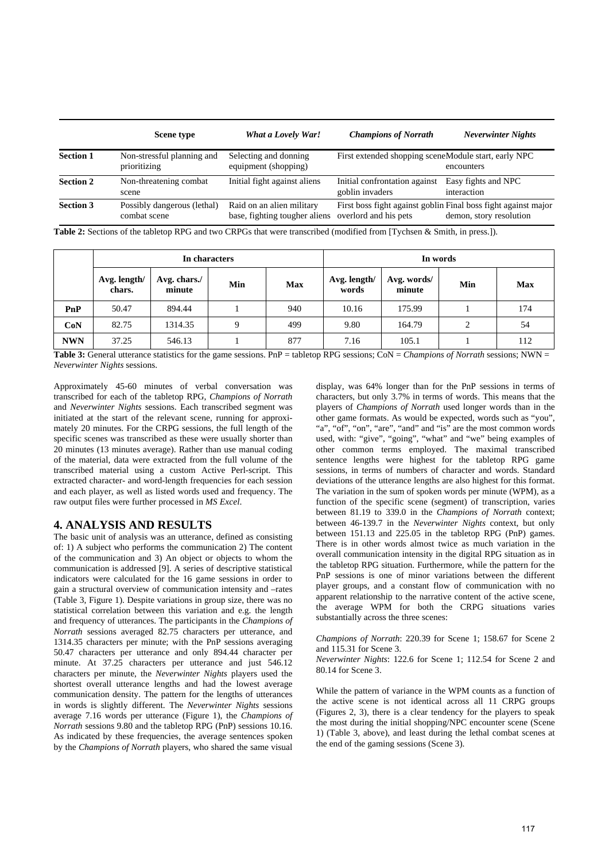|                  | <b>Scene type</b>                           | What a Lovely War!                                                               | <b>Champions of Norrath</b>                          | <b>Neverwinter Nights</b>                                                                 |
|------------------|---------------------------------------------|----------------------------------------------------------------------------------|------------------------------------------------------|-------------------------------------------------------------------------------------------|
| <b>Section 1</b> | Non-stressful planning and<br>prioritizing  | Selecting and donning<br>equipment (shopping)                                    | First extended shopping sceneModule start, early NPC | encounters                                                                                |
| <b>Section 2</b> | Non-threatening combat<br>scene             | Initial fight against aliens                                                     | Initial confrontation against<br>goblin invaders     | Easy fights and NPC<br>interaction                                                        |
| <b>Section 3</b> | Possibly dangerous (lethal)<br>combat scene | Raid on an alien military<br>base, fighting tougher aliens overlord and his pets |                                                      | First boss fight against goblin Final boss fight against major<br>demon, story resolution |

**Table 2:** Sections of the tabletop RPG and two CRPGs that were transcribed (modified from [Tychsen & Smith, in press.]).

|            |                        | In characters          |     |            |                       | In words              |     |            |  |
|------------|------------------------|------------------------|-----|------------|-----------------------|-----------------------|-----|------------|--|
|            | Avg. length/<br>chars. | Avg. chars./<br>minute | Min | <b>Max</b> | Avg. length/<br>words | Avg. words/<br>minute | Min | <b>Max</b> |  |
| PnP        | 50.47                  | 894.44                 |     | 940        | 10.16                 | 175.99                |     | 174        |  |
| CoN        | 82.75                  | 1314.35                |     | 499        | 9.80                  | 164.79                | 2   | 54         |  |
| <b>NWN</b> | 37.25                  | 546.13                 |     | 877        | 7.16                  | 105.1                 |     | 112        |  |

**Table 3:** General utterance statistics for the game sessions. PnP = tabletop RPG sessions; CoN = *Champions of Norrath* sessions; NWN = *Neverwinter Nights* sessions.

Approximately 45-60 minutes of verbal conversation was transcribed for each of the tabletop RPG, *Champions of Norrath* and *Neverwinter Nights* sessions. Each transcribed segment was initiated at the start of the relevant scene, running for approximately 20 minutes. For the CRPG sessions, the full length of the specific scenes was transcribed as these were usually shorter than 20 minutes (13 minutes average). Rather than use manual coding of the material, data were extracted from the full volume of the transcribed material using a custom Active Perl-script. This extracted character- and word-length frequencies for each session and each player, as well as listed words used and frequency. The raw output files were further processed in *MS Excel*.

## **4. ANALYSIS AND RESULTS**

The basic unit of analysis was an utterance, defined as consisting of: 1) A subject who performs the communication 2) The content of the communication and 3) An object or objects to whom the communication is addressed [9]. A series of descriptive statistical indicators were calculated for the 16 game sessions in order to gain a structural overview of communication intensity and –rates (Table 3, Figure 1). Despite variations in group size, there was no statistical correlation between this variation and e.g. the length and frequency of utterances. The participants in the *Champions of Norrath* sessions averaged 82.75 characters per utterance, and 1314.35 characters per minute; with the PnP sessions averaging 50.47 characters per utterance and only 894.44 character per minute. At 37.25 characters per utterance and just 546.12 characters per minute, the *Neverwinter Nights* players used the shortest overall utterance lengths and had the lowest average communication density. The pattern for the lengths of utterances in words is slightly different. The *Neverwinter Nights* sessions average 7.16 words per utterance (Figure 1), the *Champions of Norrath* sessions 9.80 and the tabletop RPG (PnP) sessions 10.16. As indicated by these frequencies, the average sentences spoken by the *Champions of Norrath* players, who shared the same visual

display, was 64% longer than for the PnP sessions in terms of characters, but only 3.7% in terms of words. This means that the players of *Champions of Norrath* used longer words than in the other game formats. As would be expected, words such as "you", "a", "of", "on", "are", "and" and "is" are the most common words used, with: "give", "going", "what" and "we" being examples of other common terms employed. The maximal transcribed sentence lengths were highest for the tabletop RPG game sessions, in terms of numbers of character and words. Standard deviations of the utterance lengths are also highest for this format. The variation in the sum of spoken words per minute (WPM), as a function of the specific scene (segment) of transcription, varies between 81.19 to 339.0 in the *Champions of Norrath* context; between 46-139.7 in the *Neverwinter Nights* context, but only between 151.13 and 225.05 in the tabletop RPG (PnP) games. There is in other words almost twice as much variation in the overall communication intensity in the digital RPG situation as in the tabletop RPG situation. Furthermore, while the pattern for the PnP sessions is one of minor variations between the different player groups, and a constant flow of communication with no apparent relationship to the narrative content of the active scene, the average WPM for both the CRPG situations varies substantially across the three scenes:

#### *Champions of Norrath*: 220.39 for Scene 1; 158.67 for Scene 2 and 115.31 for Scene 3.

*Neverwinter Nights*: 122.6 for Scene 1; 112.54 for Scene 2 and 80.14 for Scene 3.

While the pattern of variance in the WPM counts as a function of the active scene is not identical across all 11 CRPG groups (Figures 2, 3), there is a clear tendency for the players to speak the most during the initial shopping/NPC encounter scene (Scene 1) (Table 3, above), and least during the lethal combat scenes at the end of the gaming sessions (Scene 3).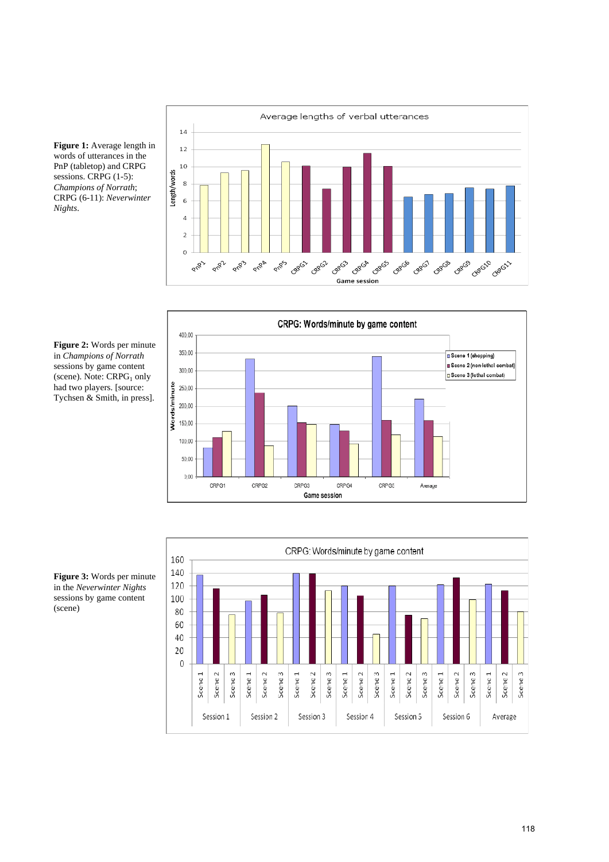

**Figure 1:** Average length in words of utterances in the PnP (tabletop) and CRPG sessions. CRPG  $(1-5)$ : *Champions of Norrath*; CRPG (6-11): *Neverwinter Nights*.



**Figure 2:** Words per minute in *Champions of Norrath* sessions by game content (scene). Note:  $CRPG<sub>1</sub>$  only had two players. [source: Tychsen & Smith, in press].



**Figure 3:** Words per minute in the *Neverwinter Nights* sessions by game content (scene)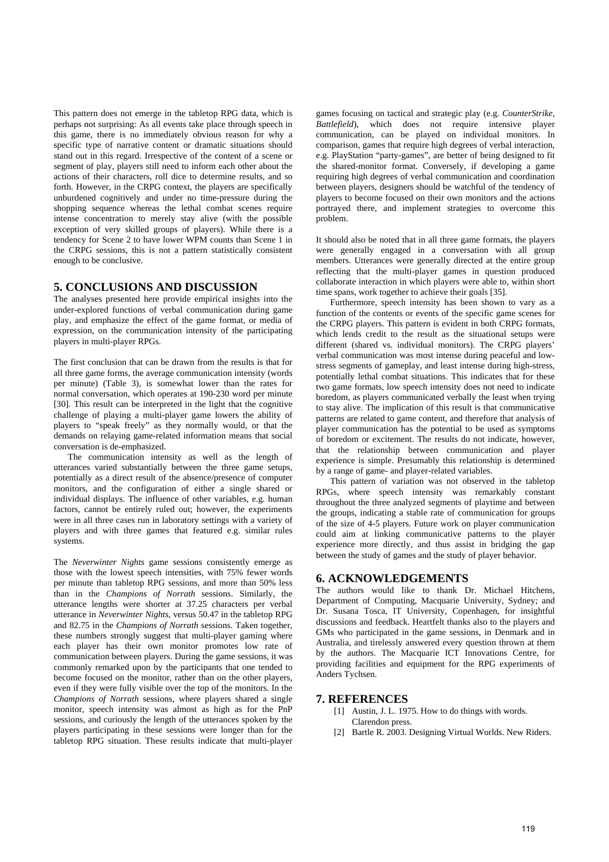This pattern does not emerge in the tabletop RPG data, which is perhaps not surprising: As all events take place through speech in this game, there is no immediately obvious reason for why a specific type of narrative content or dramatic situations should stand out in this regard. Irrespective of the content of a scene or segment of play, players still need to inform each other about the actions of their characters, roll dice to determine results, and so forth. However, in the CRPG context, the players are specifically unburdened cognitively and under no time-pressure during the shopping sequence whereas the lethal combat scenes require intense concentration to merely stay alive (with the possible exception of very skilled groups of players). While there is a tendency for Scene 2 to have lower WPM counts than Scene 1 in the CRPG sessions, this is not a pattern statistically consistent enough to be conclusive.

## **5. CONCLUSIONS AND DISCUSSION**

The analyses presented here provide empirical insights into the under-explored functions of verbal communication during game play, and emphasize the effect of the game format, or media of expression, on the communication intensity of the participating players in multi-player RPGs.

The first conclusion that can be drawn from the results is that for all three game forms, the average communication intensity (words per minute) (Table 3), is somewhat lower than the rates for normal conversation, which operates at 190-230 word per minute [30]. This result can be interpreted in the light that the cognitive challenge of playing a multi-player game lowers the ability of players to "speak freely" as they normally would, or that the demands on relaying game-related information means that social conversation is de-emphasized.

The communication intensity as well as the length of utterances varied substantially between the three game setups, potentially as a direct result of the absence/presence of computer monitors, and the configuration of either a single shared or individual displays. The influence of other variables, e.g. human factors, cannot be entirely ruled out; however, the experiments were in all three cases run in laboratory settings with a variety of players and with three games that featured e.g. similar rules systems.

The *Neverwinter Nights* game sessions consistently emerge as those with the lowest speech intensities, with 75% fewer words per minute than tabletop RPG sessions, and more than 50% less than in the *Champions of Norrath* sessions. Similarly, the utterance lengths were shorter at 37.25 characters per verbal utterance in *Neverwinter Nights*, versus 50.47 in the tabletop RPG and 82.75 in the *Champions of Norrath* sessions. Taken together, these numbers strongly suggest that multi-player gaming where each player has their own monitor promotes low rate of communication between players. During the game sessions, it was commonly remarked upon by the participants that one tended to become focused on the monitor, rather than on the other players, even if they were fully visible over the top of the monitors. In the *Champions of Norrath* sessions, where players shared a single monitor, speech intensity was almost as high as for the PnP sessions, and curiously the length of the utterances spoken by the players participating in these sessions were longer than for the tabletop RPG situation. These results indicate that multi-player

games focusing on tactical and strategic play (e.g. *CounterStrike, Battlefield*), which does not require intensive player communication, can be played on individual monitors. In comparison, games that require high degrees of verbal interaction, e.g. PlayStation "party-games", are better of being designed to fit the shared-monitor format. Conversely, if developing a game requiring high degrees of verbal communication and coordination between players, designers should be watchful of the tendency of players to become focused on their own monitors and the actions portrayed there, and implement strategies to overcome this problem.

It should also be noted that in all three game formats, the players were generally engaged in a conversation with all group members. Utterances were generally directed at the entire group reflecting that the multi-player games in question produced collaborate interaction in which players were able to, within short time spans, work together to achieve their goals [35].

Furthermore, speech intensity has been shown to vary as a function of the contents or events of the specific game scenes for the CRPG players. This pattern is evident in both CRPG formats, which lends credit to the result as the situational setups were different (shared vs. individual monitors). The CRPG players' verbal communication was most intense during peaceful and lowstress segments of gameplay, and least intense during high-stress, potentially lethal combat situations. This indicates that for these two game formats, low speech intensity does not need to indicate boredom, as players communicated verbally the least when trying to stay alive. The implication of this result is that communicative patterns are related to game content, and therefore that analysis of player communication has the potential to be used as symptoms of boredom or excitement. The results do not indicate, however, that the relationship between communication and player experience is simple. Presumably this relationship is determined by a range of game- and player-related variables.

This pattern of variation was not observed in the tabletop RPGs, where speech intensity was remarkably constant throughout the three analyzed segments of playtime and between the groups, indicating a stable rate of communication for groups of the size of 4-5 players. Future work on player communication could aim at linking communicative patterns to the player experience more directly, and thus assist in bridging the gap between the study of games and the study of player behavior.

#### **6. ACKNOWLEDGEMENTS**

The authors would like to thank Dr. Michael Hitchens, Department of Computing, Macquarie University, Sydney; and Dr. Susana Tosca, IT University, Copenhagen, for insightful discussions and feedback. Heartfelt thanks also to the players and GMs who participated in the game sessions, in Denmark and in Australia, and tirelessly answered every question thrown at them by the authors. The Macquarie ICT Innovations Centre, for providing facilities and equipment for the RPG experiments of Anders Tychsen.

#### **7. REFERENCES**

- [1] Austin, J. L. 1975. How to do things with words. Clarendon press.
- [2] Bartle R. 2003. Designing Virtual Worlds. New Riders.